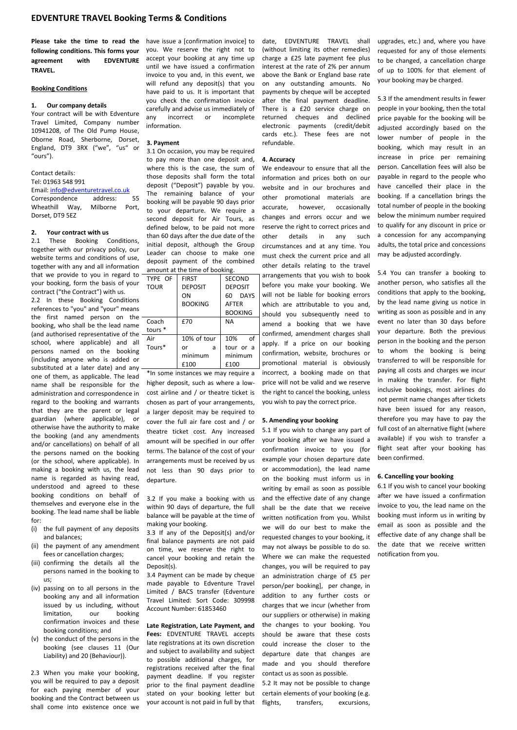**Please take the time to read the**  have issue a [confirmation invoice] to **following conditions. This forms your**  you. We reserve the right not to agreement with EDVENTURE accept your booking at any time up **TRAVEL.**

## **Booking Conditions**

## **1. Our company details**

Your contract will be with Edventure Travel Limited, Company number 10941208, of The Old Pump House, Oborne Road, Sherborne, Dorset, England, DT9 3RX ("we", "us" or "ours").

# Contact details:

Tel: 01963 548 991

Email[: info@edventuretravel.co.uk](mailto:info@edventuretravel.co.uk) Correspondence address: 55 Wheathill Way, Milborne Port, Dorset, DT9 5EZ

# **2. Your contract with us**

These Booking Conditions, together with our privacy policy, our website terms and conditions of use, together with any and all information that we provide to you in regard to your booking, form the basis of your contract ("the Contract") with us.

2.2 In these Booking Conditions references to "you" and "your" means the first named person on the booking, who shall be the lead name (and authorised representative of the school, where applicable) and all persons named on the booking (including anyone who is added or substituted at a later date) and any one of them, as applicable. The lead name shall be responsible for the administration and correspondence in regard to the booking and warrants that they are the parent or legal guardian (where applicable), or otherwise have the authority to make the booking (and any amendments and/or cancellations) on behalf of all the persons named on the booking (or the school, where applicable). In making a booking with us, the lead name is regarded as having read, understood and agreed to these booking conditions on behalf of themselves and everyone else in the booking. The lead name shall be liable for:

- (i) the full payment of any deposits and balances;
- (ii) the payment of any amendment fees or cancellation charges;
- (iii) confirming the details all the persons named in the booking to us;
- (iv) passing on to all persons in the booking any and all information issued by us including, without limitation, our booking confirmation invoices and these booking conditions; and
- (v) the conduct of the persons in the booking (see clauses 11 (Our Liability) and 20 (Behaviour)).

2.3 When you make your booking, you will be required to pay a deposit for each paying member of your booking and the Contract between us shall come into existence once we

until we have issued a confirmation invoice to you and, in this event, we will refund any deposit(s) that you have paid to us. It is important that you check the confirmation invoice carefully and advise us immediately of any incorrect or incomplete information.

#### **3. Payment**

3.1 On occasion, you may be required to pay more than one deposit and, where this is the case, the sum of those deposits shall form the total deposit ("Deposit") payable by you. The remaining balance of your booking will be payable 90 days prior to your departure. We require a second deposit for Air Tours, as defined below, to be paid not more than 60 days after the due date of the initial deposit, although the Group Leader can choose to make one deposit payment of the combined amount at the time of booking.

| TYPE OF            | <b>FIRST</b>   | <b>SECOND</b>  |
|--------------------|----------------|----------------|
| <b>TOUR</b>        | <b>DEPOSIT</b> | <b>DEPOSIT</b> |
|                    | ON             | 60 DAYS        |
|                    | <b>BOOKING</b> | AFTER          |
|                    |                | <b>BOOKING</b> |
| Coach              | £70            | <b>NA</b>      |
| tours <sup>*</sup> |                |                |
| Air                | 10% of tour    | 10%<br>Ωf      |
| Tours*             | or<br>a        | tour or a      |
|                    | minimum        | minimum        |
|                    | £100           | £100           |

\*In some instances we may require a higher deposit, such as where a lowcost airline and / or theatre ticket is chosen as part of your arrangements, a larger deposit may be required to cover the full air fare cost and / or theatre ticket cost. Any increased amount will be specified in our offer terms. The balance of the cost of your arrangements must be received by us not less than 90 days prior to departure.

3.2 If you make a booking with us within 90 days of departure, the full balance will be payable at the time of making your booking.

3.3 If any of the Deposit(s) and/or final balance payments are not paid on time, we reserve the right to cancel your booking and retain the Deposit(s).

3.4 Payment can be made by cheque made payable to Edventure Travel Limited / BACS transfer (Edventure Travel Limited: Sort Code: 309998 Account Number: 61853460

## **Late Registration, Late Payment, and**

**Fees:** EDVENTURE TRAVEL accepts late registrations at its own discretion and subject to availability and subject to possible additional charges, for registrations received after the final payment deadline. If you register prior to the final payment deadline stated on your booking letter but your account is not paid in full by that

date, EDVENTURE TRAVEL shall (without limiting its other remedies) charge a £25 late payment fee plus interest at the rate of 2% per annum above the Bank or England base rate on any outstanding amounts. No payments by cheque will be accepted after the final payment deadline. There is a £20 service charge on returned cheques and declined electronic payments (credit/debit cards etc.). These fees are not refundable.

#### **4. Accuracy**

We endeavour to ensure that all the information and prices both on our website and in our brochures and other promotional materials are accurate, however, occasionally changes and errors occur and we reserve the right to correct prices and other details in any such circumstances and at any time. You must check the current price and all other details relating to the travel arrangements that you wish to book before you make your booking. We will not be liable for booking errors which are attributable to you and. should you subsequently need to amend a booking that we have confirmed, amendment charges shall apply. If a price on our booking confirmation, website, brochures or promotional material is obviously incorrect, a booking made on that price will not be valid and we reserve the right to cancel the booking, unless you wish to pay the correct price.

## **5. Amending your booking**

5.1 If you wish to change any part of your booking after we have issued a confirmation invoice to you (for example your chosen departure date or accommodation), the lead name on the booking must inform us in writing by email as soon as possible and the effective date of any change shall be the date that we receive written notification from you. Whilst we will do our best to make the requested changes to your booking, it may not always be possible to do so. Where we can make the requested changes, you will be required to pay an administration charge of £5 per person/per booking], per change, in addition to any further costs or charges that we incur (whether from our suppliers or otherwise) in making the changes to your booking. You should be aware that these costs could increase the closer to the departure date that changes are made and you should therefore contact us as soon as possible.

5.2 It may not be possible to change certain elements of your booking (e.g. flights, transfers, excursions, upgrades, etc.) and, where you have requested for any of those elements to be changed, a cancellation charge of up to 100% for that element of your booking may be charged.

5.3 If the amendment results in fewer people in your booking, then the total price payable for the booking will be adjusted accordingly based on the lower number of people in the booking, which may result in an increase in price per remaining person. Cancellation fees will also be payable in regard to the people who have cancelled their place in the booking. If a cancellation brings the total number of people in the booking below the minimum number required to qualify for any discount in price or a concession for any accompanying adults, the total price and concessions may be adjusted accordingly.

5.4 You can transfer a booking to another person, who satisfies all the conditions that apply to the booking, by the lead name giving us notice in writing as soon as possible and in any event no later than 30 days before your departure. Both the previous person in the booking and the person to whom the booking is being transferred to will be responsible for paying all costs and charges we incur in making the transfer. For flight inclusive bookings, most airlines do not permit name changes after tickets have been issued for any reason, therefore you may have to pay the full cost of an alternative flight (where available) if you wish to transfer a flight seat after your booking has been confirmed.

#### **6. Cancelling your booking**

6.1 If you wish to cancel your booking after we have issued a confirmation invoice to you, the lead name on the booking must inform us in writing by email as soon as possible and the effective date of any change shall be the date that we receive written notification from you.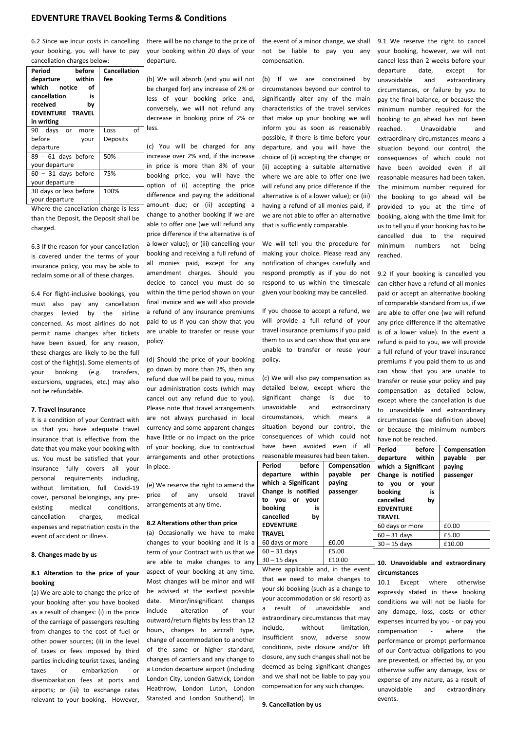6.2 Since we incur costs in cancelling your booking, you will have to pay cancellation charges below:

| Period<br>before        | Cancellation |
|-------------------------|--------------|
| within<br>departure     | fee          |
| which<br>notice<br>Ωf   |              |
| cancellation<br>is      |              |
| received<br>bv          |              |
| <b>EDVENTURE TRAVEL</b> |              |
| in writing              |              |
| 90 days or<br>more      | οf<br>Loss   |
| before<br>vour          | Deposits     |
| departure               |              |
| 89 - 61 days before     | 50%          |
| your departure          |              |
| $60 - 31$ days before   | 75%          |
| your departure          |              |
| 30 days or less before  | 100%         |
| your departure          |              |

Where the cancellation charge is less than the Deposit, the Deposit shall be charged.

6.3 If the reason for your cancellation is covered under the terms of your insurance policy, you may be able to reclaim some or all of these charges.

6.4 For flight-inclusive bookings, you must also pay any cancellation charges levied by the airline concerned. As most airlines do not permit name changes after tickets have been issued, for any reason, these charges are likely to be the full cost of the flight(s). Some elements of your booking (e.g. transfers, excursions, upgrades, etc.) may also not be refundable.

#### **7. Travel Insurance**

It is a condition of your Contract with us that you have adequate travel insurance that is effective from the date that you make your booking with us. You must be satisfied that your insurance fully covers all your personal requirements including, without limitation, full Covid-19 cover, personal belongings, any preexisting medical conditions, cancellation charges, medical expenses and repatriation costs in the event of accident or illness.

## **8. Changes made by us**

## **8.1 Alteration to the price of your booking**

(a) We are able to change the price of your booking after you have booked as a result of changes: (i) in the price of the carriage of passengers resulting from changes to the cost of fuel or other power sources; (ii) in the level of taxes or fees imposed by third parties including tourist taxes, landing taxes or embarkation or disembarkation fees at ports and airports; or (iii) to exchange rates relevant to your booking. However, there will be no change to the price of your booking within 20 days of your departure.

(b) We will absorb (and you will not be charged for) any increase of 2% or less of your booking price and, conversely, we will not refund any decrease in booking price of 2% or less.

(c) You will be charged for any increase over 2% and, if the increase in price is more than 8% of your booking price, you will have the option of (i) accepting the price difference and paying the additional amount due; or (ii) accepting a change to another booking if we are able to offer one (we will refund any price difference if the alternative is of a lower value); or (iii) cancelling your booking and receiving a full refund of all monies paid, except for any amendment charges. Should you decide to cancel you must do so within the time period shown on your final invoice and we will also provide a refund of any insurance premiums paid to us if you can show that you are unable to transfer or reuse your policy.

(d) Should the price of your booking go down by more than 2%, then any refund due will be paid to you, minus our administration costs (which may cancel out any refund due to you). Please note that travel arrangements are not always purchased in local currency and some apparent changes have little or no impact on the price of your booking, due to contractual arrangements and other protections in place.

(e) We reserve the right to amend the price of any unsold travel arrangements at any time.

## **8.2 Alterations other than price**

(a) Occasionally we have to make changes to your booking and it is a term of your Contract with us that we are able to make changes to any aspect of your booking at any time. Most changes will be minor and will be advised at the earliest possible date. Minor/insignificant changes include alteration of your outward/return flights by less than 12 hours, changes to aircraft type, change of accommodation to another of the same or higher standard, changes of carriers and any change to a London departure airport (including London City, London Gatwick, London Heathrow, London Luton, London Stansted and London Southend). In

the event of a minor change, we shall 9.1 We reserve the right to cancel not be liable to pay you any compensation.

(b) If we are constrained by circumstances beyond our control to significantly alter any of the main characteristics of the travel services that make up your booking we will inform you as soon as reasonably possible, if there is time before your departure, and you will have the choice of (i) accepting the change; or (ii) accepting a suitable alternative where we are able to offer one (we will refund any price difference if the alternative is of a lower value); or (iii) having a refund of all monies paid, if we are not able to offer an alternative that is sufficiently comparable.

We will tell you the procedure for making your choice. Please read any notification of changes carefully and respond promptly as if you do not respond to us within the timescale given your booking may be cancelled.

If you choose to accept a refund, we will provide a full refund of your travel insurance premiums if you paid them to us and can show that you are unable to transfer or reuse your policy.

(c) We will also pay compensation as detailed below, except where the significant change is due to unavoidable and extraordinary circumstances, which means a situation beyond our control, the consequences of which could not have been avoided even if all

| reasonable measures had been taken. |        |              |  |  |
|-------------------------------------|--------|--------------|--|--|
| Period                              | before | Compensation |  |  |
| departure within                    |        | payable per  |  |  |
| which a Significant                 |        | paying       |  |  |
| Change is notified                  |        | passenger    |  |  |
| to you or                           | vour   |              |  |  |
| booking                             | is     |              |  |  |
| cancelled                           | bν     |              |  |  |
| <b>EDVENTURE</b>                    |        |              |  |  |
| <b>TRAVEL</b>                       |        |              |  |  |
| 60 days or more                     |        | £0.00        |  |  |
|                                     |        |              |  |  |

 $60 - 31 \text{ days}$  £5.00<br>30 – 15 days £10.00 Where applicable and, in the event that we need to make changes to your ski booking (such as a change to your accommodation or ski resort) as a result of unavoidable and extraordinary circumstances that may include, without limitation, insufficient snow, adverse snow conditions, piste closure and/or lift closure, any such changes shall not be deemed as being significant changes and we shall not be liable to pay you compensation for any such changes.

 $30 - 15$  days

your booking, however, we will not cancel less than 2 weeks before your departure date, except for unavoidable and extraordinary circumstances, or failure by you to pay the final balance, or because the minimum number required for the booking to go ahead has not been reached. Unavoidable and extraordinary circumstances means a situation beyond our control, the consequences of which could not have been avoided even if all reasonable measures had been taken. The minimum number required for the booking to go ahead will be provided to you at the time of booking, along with the time limit for us to tell you if your booking has to be cancelled due to the required minimum numbers not being reached.

9.2 If your booking is cancelled you can either have a refund of all monies paid or accept an alternative booking of comparable standard from us, if we are able to offer one (we will refund any price difference if the alternative is of a lower value). In the event a refund is paid to you, we will provide a full refund of your travel insurance premiums if you paid them to us and can show that you are unable to transfer or reuse your policy and pay compensation as detailed below, except where the cancellation is due to unavoidable and extraordinary circumstances (see definition above) or because the minimum numbers have not be reached.

| ١<br>ŕ | Period<br>before<br>departure within<br>which a Significant<br>Change is notified<br>to you or<br>your<br>booking<br>is<br>cancelled<br>bv<br><b>EDVENTURE</b><br><b>TRAVEL</b> | Compensation<br>payable per<br>paying<br>passenger |
|--------|---------------------------------------------------------------------------------------------------------------------------------------------------------------------------------|----------------------------------------------------|
|        | 60 days or more                                                                                                                                                                 | £0.00                                              |
|        | $60 - 31$ days                                                                                                                                                                  | £5.00                                              |
|        | $30 - 15$ days                                                                                                                                                                  | £10.00                                             |
|        |                                                                                                                                                                                 |                                                    |

# **10. Unavoidable and extraordinary circumstances**

10.1 Except where otherwise expressly stated in these booking conditions we will not be liable for any damage, loss, costs or other expenses incurred by you - or pay you compensation - where the performance or prompt performance of our Contractual obligations to you are prevented, or affected by, or you otherwise suffer any damage, loss or expense of any nature, as a result of unavoidable and extraordinary events.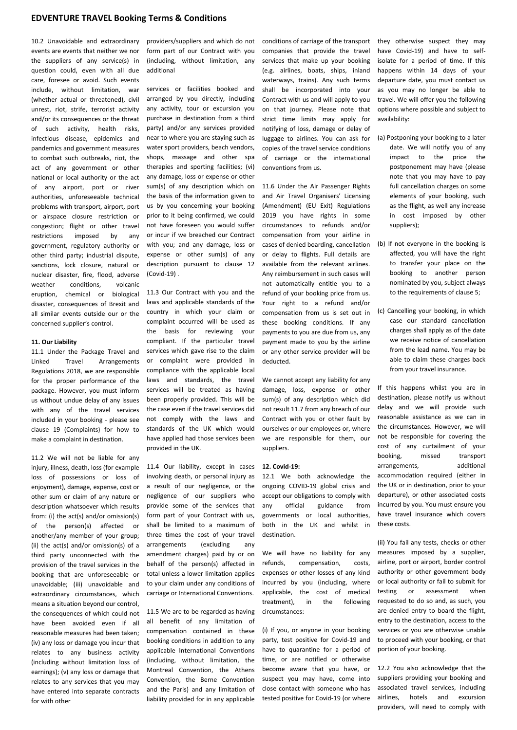10.2 Unavoidable and extraordinary events are events that neither we nor the suppliers of any service(s) in question could, even with all due care, foresee or avoid. Such events include, without limitation, war (whether actual or threatened), civil unrest, riot, strife, terrorist activity and/or its consequences or the threat of such activity, health risks, infectious disease, epidemics and pandemics and government measures to combat such outbreaks, riot, the act of any government or other national or local authority or the act of any airport, port or river authorities, unforeseeable technical problems with transport, airport, port or airspace closure restriction or congestion; flight or other travel restrictions imposed by any government, regulatory authority or other third party; industrial dispute, sanctions, lock closure, natural or nuclear disaster, fire, flood, adverse weather conditions, volcanic eruption, chemical or biological disaster, consequences of Brexit and all similar events outside our or the concerned supplier's control.

#### **11. Our Liability**

11.1 Under the Package Travel and Linked Travel Arrangements Regulations 2018, we are responsible for the proper performance of the package. However, you must inform us without undue delay of any issues with any of the travel services included in your booking - please see clause 19 (Complaints) for how to make a complaint in destination.

11.2 We will not be liable for any injury, illness, death, loss (for example loss of possessions or loss of enjoyment), damage, expense, cost or other sum or claim of any nature or description whatsoever which results from: (i) the act(s) and/or omission(s) of the person(s) affected or another/any member of your group; (ii) the act(s) and/or omission(s) of a third party unconnected with the provision of the travel services in the booking that are unforeseeable or unavoidable; (iii) unavoidable and extraordinary circumstances, which means a situation beyond our control, the consequences of which could not have been avoided even if all reasonable measures had been taken; (iv) any loss or damage you incur that relates to any business activity (including without limitation loss of earnings); (v) any loss or damage that relates to any services that you may have entered into separate contracts for with other

providers/suppliers and which do not form part of our Contract with you (including, without limitation, any additional

services or facilities booked and arranged by you directly, including any activity, tour or excursion you purchase in destination from a third party) and/or any services provided near to where you are staying such as water sport providers, beach vendors, shops, massage and other spa therapies and sporting facilities; (vi) any damage, loss or expense or other sum(s) of any description which on the basis of the information given to us by you concerning your booking prior to it being confirmed, we could not have foreseen you would suffer or incur if we breached our Contract with you; and any damage, loss or expense or other sum(s) of any description pursuant to clause 12 (Covid-19) .

11.3 Our Contract with you and the laws and applicable standards of the country in which your claim or complaint occurred will be used as the basis for reviewing your compliant. If the particular travel services which gave rise to the claim or complaint were provided in compliance with the applicable local laws and standards, the travel services will be treated as having been properly provided. This will be the case even if the travel services did not comply with the laws and standards of the UK which would have applied had those services been provided in the UK.

11.4 Our liability, except in cases involving death, or personal injury as a result of our negligence, or the negligence of our suppliers who provide some of the services that form part of your Contract with us, shall be limited to a maximum of three times the cost of your travel arrangements (excluding any amendment charges) paid by or on behalf of the person(s) affected in total unless a lower limitation applies to your claim under any conditions of carriage or International Conventions.

11.5 We are to be regarded as having all benefit of any limitation of compensation contained in these booking conditions in addition to any applicable International Conventions (including, without limitation, the Montreal Convention, the Athens Convention, the Berne Convention and the Paris) and any limitation of liability provided for in any applicable

conditions of carriage of the transport companies that provide the travel services that make up your booking (e.g. airlines, boats, ships, inland waterways, trains). Any such terms shall be incorporated into your Contract with us and will apply to you on that journey. Please note that strict time limits may apply for notifying of loss, damage or delay of luggage to airlines. You can ask for copies of the travel service conditions of carriage or the international conventions from us.

11.6 Under the Air Passenger Rights and Air Travel Organisers' Licensing (Amendment) (EU Exit) Regulations 2019 you have rights in some circumstances to refunds and/or compensation from your airline in cases of denied boarding, cancellation or delay to flights. Full details are available from the relevant airlines. Any reimbursement in such cases will not automatically entitle you to a refund of your booking price from us. Your right to a refund and/or compensation from us is set out in these booking conditions. If any payments to you are due from us, any payment made to you by the airline or any other service provider will be deducted.

We cannot accept any liability for any damage, loss, expense or other sum(s) of any description which did not result 11.7 from any breach of our Contract with you or other fault by ourselves or our employees or, where we are responsible for them, our suppliers.

#### **12. Covid-19:**

12.1 We both acknowledge the ongoing COVID-19 global crisis and accept our obligations to comply with any official guidance from governments or local authorities, both in the UK and whilst in destination.

We will have no liability for any refunds, compensation, costs, expenses or other losses of any kind incurred by you (including, where applicable, the cost of medical treatment), in the following circumstances:

(i) If you, or anyone in your booking party, test positive for Covid-19 and have to quarantine for a period of time, or are notified or otherwise become aware that you have, or suspect you may have, come into close contact with someone who has tested positive for Covid-19 (or where they otherwise suspect they may have Covid-19) and have to selfisolate for a period of time. If this happens within 14 days of your departure date, you must contact us as you may no longer be able to travel. We will offer you the following options where possible and subject to availability:

- (a) Postponing your booking to a later date. We will notify you of any impact to the price the postponement may have (please note that you may have to pay full cancellation charges on some elements of your booking, such as the flight, as well any increase in cost imposed by other suppliers);
- (b) If not everyone in the booking is affected, you will have the right to transfer your place on the booking to another person nominated by you, subject always to the requirements of clause 5;
- (c) Cancelling your booking, in which case our standard cancellation charges shall apply as of the date we receive notice of cancellation from the lead name. You may be able to claim these charges back from your travel insurance.

If this happens whilst you are in destination, please notify us without delay and we will provide such reasonable assistance as we can in the circumstances. However, we will not be responsible for covering the cost of any curtailment of your booking, missed transport arrangements, additional accommodation required (either in the UK or in destination, prior to your departure), or other associated costs incurred by you. You must ensure you have travel insurance which covers these costs.

(ii) You fail any tests, checks or other measures imposed by a supplier, airline, port or airport, border control authority or other government body or local authority or fail to submit for testing or assessment when requested to do so and, as such, you are denied entry to board the flight, entry to the destination, access to the services or you are otherwise unable to proceed with your booking, or that portion of your booking.

12.2 You also acknowledge that the suppliers providing your booking and associated travel services, including airlines, hotels and excursion providers, will need to comply with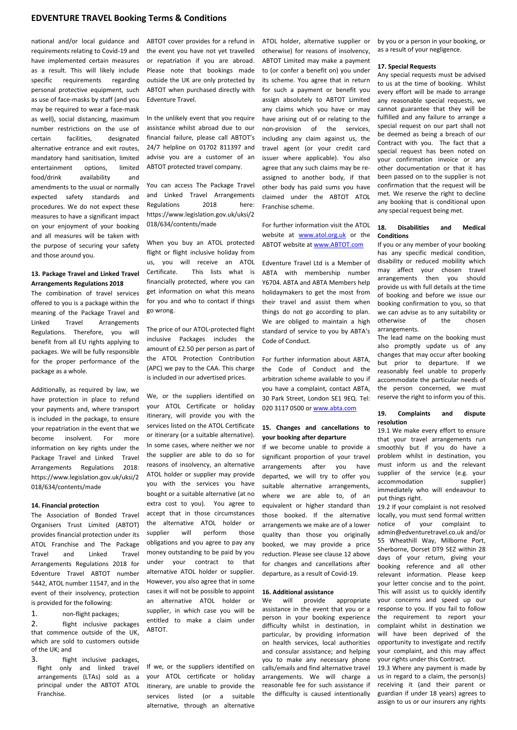national and/or local guidance and requirements relating to Covid-19 and have implemented certain measures as a result. This will likely include specific requirements regarding personal protective equipment, such as use of face-masks by staff (and you may be required to wear a face-mask as well), social distancing, maximum number restrictions on the use of certain facilities, designated alternative entrance and exit routes, mandatory hand sanitisation, limited entertainment options, limited food/drink availability and amendments to the usual or normally expected safety standards and procedures. We do not expect these measures to have a significant impact on your enjoyment of your booking and all measures will be taken with the purpose of securing your safety and those around you.

## **13. Package Travel and Linked Travel Arrangements Regulations 2018**

The combination of travel services offered to you is a package within the meaning of the Package Travel and Linked Travel Arrangements Regulations. Therefore, you will benefit from all EU rights applying to packages. We will be fully responsible for the proper performance of the package as a whole.

Additionally, as required by law, we have protection in place to refund your payments and, where transport is included in the package, to ensure your repatriation in the event that we become insolvent. For more information on key rights under the Package Travel and Linked Travel Arrangements Regulations 2018: https://www.legislation.gov.uk/uksi/2 018/634/contents/made

#### **14. Financial protection**

The Association of Bonded Travel Organisers Trust Limited (ABTOT) provides financial protection under its ATOL Franchise and The Package Travel and Linked Travel Arrangements Regulations 2018 for Edventure Travel ABTOT number 5442, ATOL number 11547, and in the event of their insolvency, protection is provided for the following:

1. non-flight packages;

2. flight inclusive packages that commence outside of the UK, which are sold to customers outside of the UK; and

3. flight inclusive packages, flight only and linked travel arrangements (LTAs) sold as a principal under the ABTOT ATOL Franchise.

ABTOT cover provides for a refund in the event you have not yet travelled or repatriation if you are abroad. Please note that bookings made outside the UK are only protected by ABTOT when purchased directly with Edventure Travel.

In the unlikely event that you require assistance whilst abroad due to our financial failure, please call ABTOT's 24/7 helpline on 01702 811397 and advise you are a customer of an ABTOT protected travel company.

You can access The Package Travel and Linked Travel Arrangements Regulations 2018 here: [https://www.legislation.gov.uk/uksi/2](https://www.legislation.gov.uk/uksi/2018/634/contents/made) [018/634/contents/made](https://www.legislation.gov.uk/uksi/2018/634/contents/made)

When you buy an ATOL protected flight or flight inclusive holiday from us, you will receive an ATOL Certificate. This lists what is financially protected, where you can get information on what this means for you and who to contact if things go wrong.

The price of our ATOL-protected flight inclusive Packages includes the amount of £2.50 per person as part of the ATOL Protection Contribution (APC) we pay to the CAA. This charge is included in our advertised prices.

We, or the suppliers identified on your ATOL Certificate or holiday itinerary, will provide you with the services listed on the ATOL Certificate or itinerary (or a suitable alternative). In some cases, where neither we nor the supplier are able to do so for reasons of insolvency, an alternative ATOL holder or supplier may provide you with the services you have bought or a suitable alternative (at no extra cost to you). You agree to accept that in those circumstances the alternative ATOL holder or supplier will perform those obligations and you agree to pay any money outstanding to be paid by you under your contract to that alternative ATOL holder or supplier. However, you also agree that in some cases it will not be possible to appoint an alternative ATOL holder or supplier, in which case you will be entitled to make a claim under ABTOT.

If we, or the suppliers identified on your ATOL certificate or holiday itinerary, are unable to provide the services listed (or a suitable alternative, through an alternative

ATOL holder, alternative supplier or otherwise) for reasons of insolvency, ABTOT Limited may make a payment to (or confer a benefit on) you under its scheme. You agree that in return for such a payment or benefit you assign absolutely to ABTOT Limited any claims which you have or may have arising out of or relating to the non-provision of the services, including any claim against us, the travel agent (or your credit card issuer where applicable). You also agree that any such claims may be reassigned to another body, if that other body has paid sums you have claimed under the ABTOT ATOL Franchise scheme.

For further information visit the ATOL website at **[www.atol.org.uk](http://www.atol.org.uk/)** or the ABTOT website a[t www.ABTOT.com](http://www.abtot.com/)

Edventure Travel Ltd is a Member of ABTA with membership number Y6704. ABTA and ABTA Members help holidaymakers to get the most from their travel and assist them when things do not go according to plan. We are obliged to maintain a high standard of service to you by ABTA's Code of Conduct.

For further information about ABTA, the Code of Conduct and the arbitration scheme available to you if you have a complaint, contact ABTA, 30 Park Street, London SE1 9EQ. Tel: 020 3117 0500 o[r www.abta.com](http://www.abta.com/)

## **15. Changes and cancellations to your booking after departure**

If we become unable to provide a significant proportion of your travel arrangements after you have departed, we will try to offer you suitable alternative arrangements, where we are able to, of an equivalent or higher standard than those booked. If the alternative arrangements we make are of a lower quality than those you originally booked, we may provide a price reduction. Please see clause 12 above for changes and cancellations after departure, as a result of Covid-19.

# **16. Additional assistance**

We will provide appropriate assistance in the event that you or a person in your booking experience difficulty whilst in destination, in particular, by providing information on health services, local authorities and consular assistance; and helping you to make any necessary phone calls/emails and find alternative travel arrangements. We will charge a reasonable fee for such assistance if the difficulty is caused intentionally by you or a person in your booking, or as a result of your negligence.

#### **17. Special Requests**

Any special requests must be advised to us at the time of booking. Whilst every effort will be made to arrange any reasonable special requests, we cannot guarantee that they will be fulfilled and any failure to arrange a special request on our part shall not be deemed as being a breach of our Contract with you. The fact that a special request has been noted on your confirmation invoice or any other documentation or that it has been passed on to the supplier is not confirmation that the request will be met. We reserve the right to decline any booking that is conditional upon any special request being met.

## **18. Disabilities and Medical Conditions**

If you or any member of your booking has any specific medical condition, disability or reduced mobility which may affect your chosen travel arrangements then you should provide us with full details at the time of booking and before we issue our booking confirmation to you, so that we can advise as to any suitability or otherwise of the chosen arrangements.

The lead name on the booking must also promptly update us of any changes that may occur after booking but prior to departure. If we reasonably feel unable to properly accommodate the particular needs of the person concerned, we must reserve the right to inform you of this.

## **19. Complaints and dispute resolution**

19.1 We make every effort to ensure that your travel arrangements run smoothly but if you do have a problem whilst in destination, you must inform us and the relevant supplier of the service (e.g. your accommodation supplier) immediately who will endeavour to put things right.

19.2 If your complaint is not resolved locally, you must send formal written notice of your complaint to admin@edventuretravel.co.uk and/or 55 Wheathill Way, Milborne Port, Sherborne, Dorset DT9 5EZ within 28 days of your return, giving your booking reference and all other relevant information. Please keep your letter concise and to the point. This will assist us to quickly identify your concerns and speed up our response to you. If you fail to follow the requirement to report your complaint whilst in destination we will have been deprived of the opportunity to investigate and rectify your complaint, and this may affect your rights under this Contract.

19.3 Where any payment is made by us in regard to a claim, the person(s) receiving it (and their parent or guardian if under 18 years) agrees to assign to us or our insurers any rights